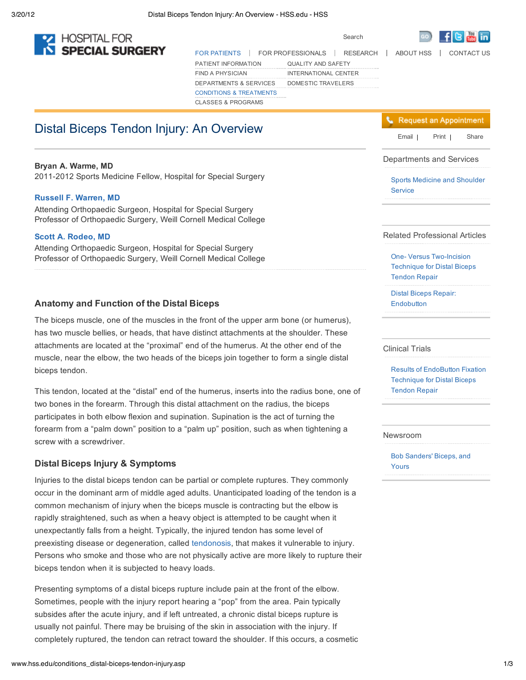

FOR PATIENTS | FOR PROFESSIONALS | RESEARCH | ABOUT HSS | CONTACT US PATIENT INFORMATION FIND A PHYSICIAN DEPARTMENTS & SERVICES DOMESTIC TRAVELERSCONDITIONS & TREATMENTS CLASSES & PROGRAMS QUALITY AND SAFETY INTERNATIONAL CENTER

# Email | Distal Biceps Tendon Injury: An Overview **Email | Share Container Share Container Appointment**

## **Bryan A. Warme, MD**

2011-2012 Sports Medicine Fellow, Hospital for Special Surgery

# **Russell F. Warren, MD**

Attending Orthopaedic Surgeon, Hospital for Special Surgery Professor of Orthopaedic Surgery, Weill Cornell Medical College

### **Scott A. Rodeo, MD**

Attending Orthopaedic Surgeon, Hospital for Special Surgery Professor of Orthopaedic Surgery, Weill Cornell Medical College

# **Anatomy and Function of the Distal Biceps**

The biceps muscle, one of the muscles in the front of the upper arm bone (or humerus), has two muscle bellies, or heads, that have distinct attachments at the shoulder. These attachments are located at the "proximal" end of the humerus. At the other end of the muscle, near the elbow, the two heads of the biceps join together to form a single distal biceps tendon.

This tendon, located at the "distal" end of the humerus, inserts into the radius bone, one of two bones in the forearm. Through this distal attachment on the radius, the biceps participates in both elbow flexion and supination. Supination is the act of turning the forearm from a "palm down" position to a "palm up" position, such as when tightening a screw with a screwdriver.

# **Distal Biceps Injury & Symptoms**

Injuries to the distal biceps tendon can be partial or complete ruptures. They commonly occur in the dominant arm of middle aged adults. Unanticipated loading of the tendon is a common mechanism of injury when the biceps muscle is contracting but the elbow is rapidly straightened, such as when a heavy object is attempted to be caught when it unexpectantly falls from a height. Typically, the injured tendon has some level of preexisting disease or degeneration, called tendonosis, that makes it vulnerable to injury. Persons who smoke and those who are not physically active are more likely to rupture their biceps tendon when it is subjected to heavy loads.

Presenting symptoms of a distal biceps rupture include pain at the front of the elbow. Sometimes, people with the injury report hearing a "pop" from the area. Pain typically subsides after the acute injury, and if left untreated, a chronic distal biceps rupture is usually not painful. There may be bruising of the skin in association with the injury. If completely ruptured, the tendon can retract toward the shoulder. If this occurs, a cosmetic



## Departments and Services

Sports Medicine and Shoulder **Service** 

#### Related Professional Articles

One- Versus Two-Incision Technique for Distal Biceps Tendon Repair

Distal Biceps Repair: **Endobutton** 

#### Clinical Trials

Results of EndoButton Fixation Technique for Distal Biceps Tendon Repair

#### Newsroom

Bob Sanders' Biceps, and Yours



Search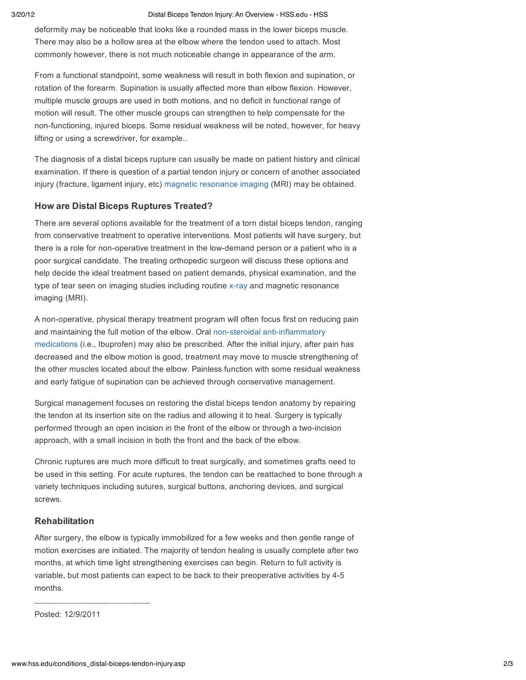#### 3/20/12 Distal Biceps Tendon Injury: An Overview - HSS.edu - HSS

deformity may be noticeable that looks like a rounded mass in the lower biceps muscle. There may also be a hollow area at the elbow where the tendon used to attach. Most commonly however, there is not much noticeable change in appearance of the arm.

From a functional standpoint, some weakness will result in both flexion and supination, or rotation of the forearm. Supination is usually affected more than elbow flexion. However, multiple muscle groups are used in both motions, and no deficit in functional range of motion will result. The other muscle groups can strengthen to help compensate for the non-functioning, injured biceps. Some residual weakness will be noted, however, for heavy lifting or using a screwdriver, for example..

The diagnosis of a distal biceps rupture can usually be made on patient history and clinical examination. If there is question of a partial tendon injury or concern of another associated injury (fracture, ligament injury, etc) magnetic resonance imaging (MRI) may be obtained.

# **How are Distal Biceps Ruptures Treated?**

There are several options available for the treatment of a torn distal biceps tendon, ranging from conservative treatment to operative interventions. Most patients will have surgery, but there is a role for non-operative treatment in the low-demand person or a patient who is a poor surgical candidate. The treating orthopedic surgeon will discuss these options and help decide the ideal treatment based on patient demands, physical examination, and the type of tear seen on imaging studies including routine x-ray and magnetic resonance imaging (MRI).

A non-operative, physical therapy treatment program will often focus first on reducing pain and maintaining the full motion of the elbow. Oral non-steroidal anti-inflammatory medications (i.e., Ibuprofen) may also be prescribed. After the initial injury, after pain has decreased and the elbow motion is good, treatment may move to muscle strengthening of the other muscles located about the elbow. Painless function with some residual weakness and early fatigue of supination can be achieved through conservative management.

Surgical management focuses on restoring the distal biceps tendon anatomy by repairing the tendon at its insertion site on the radius and allowing it to heal. Surgery is typically performed through an open incision in the front of the elbow or through a two-incision approach, with a small incision in both the front and the back of the elbow.

Chronic ruptures are much more difficult to treat surgically, and sometimes grafts need to be used in this setting. For acute ruptures, the tendon can be reattached to bone through a variety techniques including sutures, surgical buttons, anchoring devices, and surgical screws.

## **Rehabilitation**

After surgery, the elbow is typically immobilized for a few weeks and then gentle range of motion exercises are initiated. The majority of tendon healing is usually complete after two months, at which time light strengthening exercises can begin. Return to full activity is variable, but most patients can expect to be back to their preoperative activities by 4-5 months.

Posted: 12/9/2011